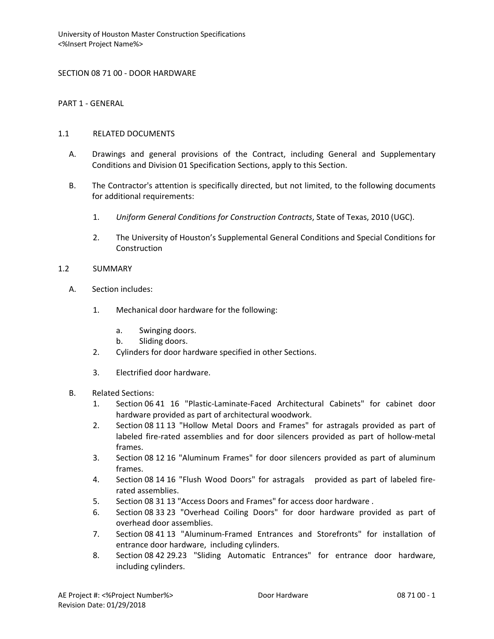SECTION 08 71 00 - DOOR HARDWARE

PART 1 - GENERAL

## 1.1 RELATED DOCUMENTS

- A. Drawings and general provisions of the Contract, including General and Supplementary Conditions and Division 01 Specification Sections, apply to this Section.
- B. The Contractor's attention is specifically directed, but not limited, to the following documents for additional requirements:
	- 1. *Uniform General Conditions for Construction Contracts*, State of Texas, 2010 (UGC).
	- 2. The University of Houston's Supplemental General Conditions and Special Conditions for Construction

### 1.2 SUMMARY

- A. Section includes:
	- 1. Mechanical door hardware for the following:
		- a. Swinging doors.
		- b. Sliding doors.
	- 2. Cylinders for door hardware specified in other Sections.
	- 3. Electrified door hardware.
- B. Related Sections:
	- 1. Section 06 41 16 "Plastic-Laminate-Faced Architectural Cabinets" for cabinet door hardware provided as part of architectural woodwork.
	- 2. Section 08 11 13 "Hollow Metal Doors and Frames" for astragals provided as part of labeled fire-rated assemblies and for door silencers provided as part of hollow-metal frames.
	- 3. Section 08 12 16 "Aluminum Frames" for door silencers provided as part of aluminum frames.
	- 4. Section 08 14 16 "Flush Wood Doors" for astragals provided as part of labeled firerated assemblies.
	- 5. Section 08 31 13 "Access Doors and Frames" for access door hardware .
	- 6. Section 08 33 23 "Overhead Coiling Doors" for door hardware provided as part of overhead door assemblies.
	- 7. Section 08 41 13 "Aluminum-Framed Entrances and Storefronts" for installation of entrance door hardware, including cylinders.
	- 8. Section 08 42 29.23 "Sliding Automatic Entrances" for entrance door hardware, including cylinders.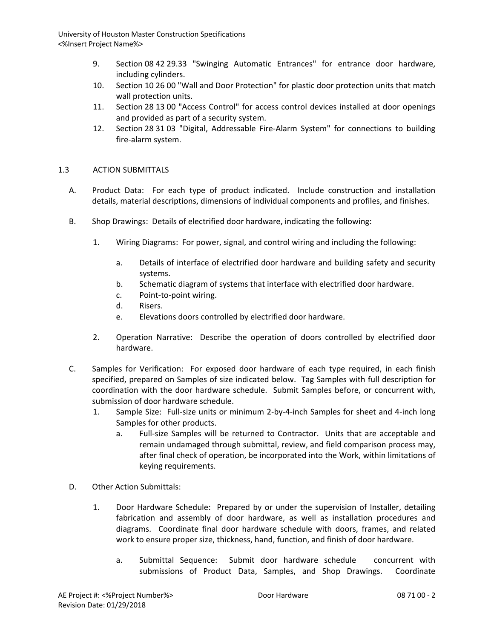- 9. Section 08 42 29.33 "Swinging Automatic Entrances" for entrance door hardware, including cylinders.
- 10. Section 10 26 00 "Wall and Door Protection" for plastic door protection units that match wall protection units.
- 11. Section 28 13 00 "Access Control" for access control devices installed at door openings and provided as part of a security system.
- 12. Section 28 31 03 "Digital, Addressable Fire-Alarm System" for connections to building fire-alarm system.

# 1.3 ACTION SUBMITTALS

- A. Product Data: For each type of product indicated. Include construction and installation details, material descriptions, dimensions of individual components and profiles, and finishes.
- B. Shop Drawings: Details of electrified door hardware, indicating the following:
	- 1. Wiring Diagrams: For power, signal, and control wiring and including the following:
		- a. Details of interface of electrified door hardware and building safety and security systems.
		- b. Schematic diagram of systems that interface with electrified door hardware.
		- c. Point-to-point wiring.
		- d. Risers.
		- e. Elevations doors controlled by electrified door hardware.
	- 2. Operation Narrative: Describe the operation of doors controlled by electrified door hardware.
- C. Samples for Verification: For exposed door hardware of each type required, in each finish specified, prepared on Samples of size indicated below. Tag Samples with full description for coordination with the door hardware schedule. Submit Samples before, or concurrent with, submission of door hardware schedule.
	- 1. Sample Size: Full-size units or minimum 2-by-4-inch Samples for sheet and 4-inch long Samples for other products.
		- a. Full-size Samples will be returned to Contractor. Units that are acceptable and remain undamaged through submittal, review, and field comparison process may, after final check of operation, be incorporated into the Work, within limitations of keying requirements.
- D. Other Action Submittals:
	- 1. Door Hardware Schedule: Prepared by or under the supervision of Installer, detailing fabrication and assembly of door hardware, as well as installation procedures and diagrams. Coordinate final door hardware schedule with doors, frames, and related work to ensure proper size, thickness, hand, function, and finish of door hardware.
		- a. Submittal Sequence: Submit door hardware schedule concurrent with submissions of Product Data, Samples, and Shop Drawings. Coordinate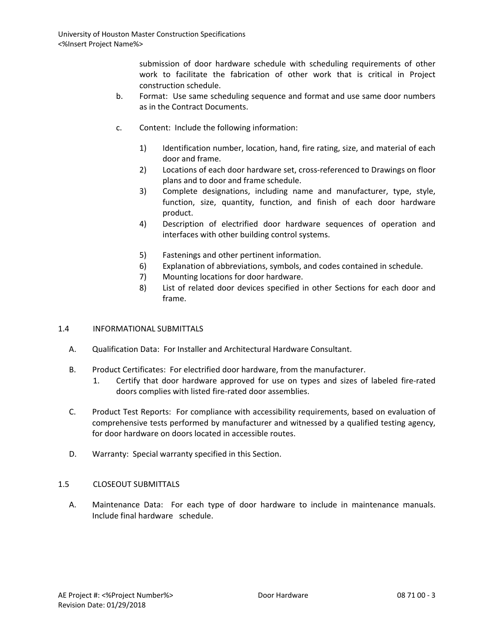submission of door hardware schedule with scheduling requirements of other work to facilitate the fabrication of other work that is critical in Project construction schedule.

- b. Format: Use same scheduling sequence and format and use same door numbers as in the Contract Documents.
- c. Content: Include the following information:
	- 1) Identification number, location, hand, fire rating, size, and material of each door and frame.
	- 2) Locations of each door hardware set, cross-referenced to Drawings on floor plans and to door and frame schedule.
	- 3) Complete designations, including name and manufacturer, type, style, function, size, quantity, function, and finish of each door hardware product.
	- 4) Description of electrified door hardware sequences of operation and interfaces with other building control systems.
	- 5) Fastenings and other pertinent information.
	- 6) Explanation of abbreviations, symbols, and codes contained in schedule.
	- 7) Mounting locations for door hardware.
	- 8) List of related door devices specified in other Sections for each door and frame.

# 1.4 INFORMATIONAL SUBMITTALS

- A. Qualification Data: For Installer and Architectural Hardware Consultant.
- B. Product Certificates: For electrified door hardware, from the manufacturer.
	- 1. Certify that door hardware approved for use on types and sizes of labeled fire-rated doors complies with listed fire-rated door assemblies.
- C. Product Test Reports: For compliance with accessibility requirements, based on evaluation of comprehensive tests performed by manufacturer and witnessed by a qualified testing agency, for door hardware on doors located in accessible routes.
- D. Warranty: Special warranty specified in this Section.

# 1.5 CLOSEOUT SUBMITTALS

A. Maintenance Data: For each type of door hardware to include in maintenance manuals. Include final hardware schedule.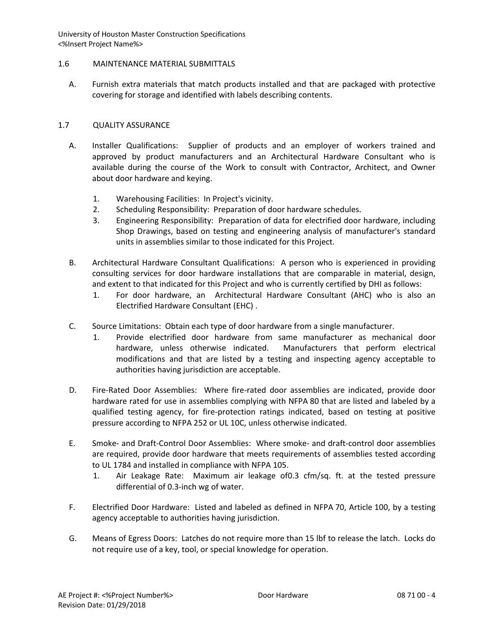## 1.6 MAINTENANCE MATERIAL SUBMITTALS

A. Furnish extra materials that match products installed and that are packaged with protective covering for storage and identified with labels describing contents.

## 1.7 QUALITY ASSURANCE

- A. Installer Qualifications: Supplier of products and an employer of workers trained and approved by product manufacturers and an Architectural Hardware Consultant who is available during the course of the Work to consult with Contractor, Architect, and Owner about door hardware and keying.
	- 1. Warehousing Facilities: In Project's vicinity.
	- 2. Scheduling Responsibility: Preparation of door hardware schedules.
	- 3. Engineering Responsibility: Preparation of data for electrified door hardware, including Shop Drawings, based on testing and engineering analysis of manufacturer's standard units in assemblies similar to those indicated for this Project.
- B. Architectural Hardware Consultant Qualifications: A person who is experienced in providing consulting services for door hardware installations that are comparable in material, design, and extent to that indicated for this Project and who is currently certified by DHI as follows:
	- 1. For door hardware, an Architectural Hardware Consultant (AHC) who is also an Electrified Hardware Consultant (EHC) .
- C. Source Limitations: Obtain each type of door hardware from a single manufacturer.
	- 1. Provide electrified door hardware from same manufacturer as mechanical door hardware, unless otherwise indicated. Manufacturers that perform electrical modifications and that are listed by a testing and inspecting agency acceptable to authorities having jurisdiction are acceptable.
- D. Fire-Rated Door Assemblies: Where fire-rated door assemblies are indicated, provide door hardware rated for use in assemblies complying with NFPA 80 that are listed and labeled by a qualified testing agency, for fire-protection ratings indicated, based on testing at positive pressure according to NFPA 252 or UL 10C, unless otherwise indicated.
- E. Smoke- and Draft-Control Door Assemblies: Where smoke- and draft-control door assemblies are required, provide door hardware that meets requirements of assemblies tested according to UL 1784 and installed in compliance with NFPA 105.
	- 1. Air Leakage Rate: Maximum air leakage of0.3 cfm/sq. ft. at the tested pressure differential of 0.3-inch wg of water.
- F. Electrified Door Hardware: Listed and labeled as defined in NFPA 70, Article 100, by a testing agency acceptable to authorities having jurisdiction.
- G. Means of Egress Doors: Latches do not require more than 15 lbf to release the latch. Locks do not require use of a key, tool, or special knowledge for operation.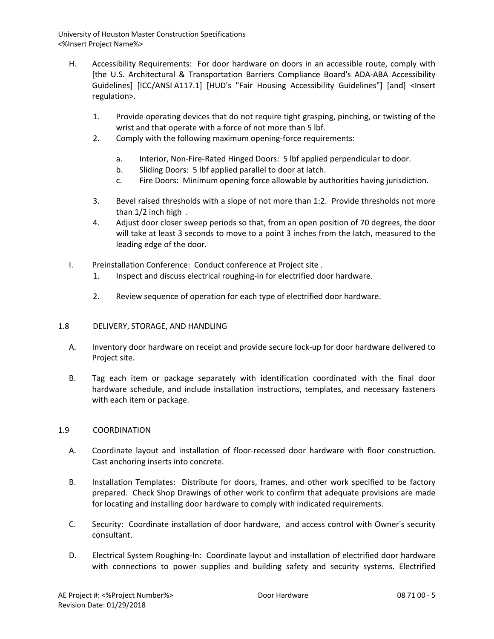- H. Accessibility Requirements: For door hardware on doors in an accessible route, comply with [the U.S. Architectural & Transportation Barriers Compliance Board's ADA-ABA Accessibility Guidelines] [ICC/ANSI A117.1] [HUD's "Fair Housing Accessibility Guidelines"] [and] <Insert regulation>.
	- 1. Provide operating devices that do not require tight grasping, pinching, or twisting of the wrist and that operate with a force of not more than 5 lbf.
	- 2. Comply with the following maximum opening-force requirements:
		- a. Interior, Non-Fire-Rated Hinged Doors: 5 lbf applied perpendicular to door.
		- b. Sliding Doors: 5 lbf applied parallel to door at latch.
		- c. Fire Doors: Minimum opening force allowable by authorities having jurisdiction.
	- 3. Bevel raised thresholds with a slope of not more than 1:2. Provide thresholds not more than 1/2 inch high .
	- 4. Adjust door closer sweep periods so that, from an open position of 70 degrees, the door will take at least 3 seconds to move to a point 3 inches from the latch, measured to the leading edge of the door.
- I. Preinstallation Conference: Conduct conference at Project site .
	- 1. Inspect and discuss electrical roughing-in for electrified door hardware.
	- 2. Review sequence of operation for each type of electrified door hardware.

# 1.8 DELIVERY, STORAGE, AND HANDLING

- A. Inventory door hardware on receipt and provide secure lock-up for door hardware delivered to Project site.
- B. Tag each item or package separately with identification coordinated with the final door hardware schedule, and include installation instructions, templates, and necessary fasteners with each item or package.

# 1.9 COORDINATION

- A. Coordinate layout and installation of floor-recessed door hardware with floor construction. Cast anchoring inserts into concrete.
- B. Installation Templates: Distribute for doors, frames, and other work specified to be factory prepared. Check Shop Drawings of other work to confirm that adequate provisions are made for locating and installing door hardware to comply with indicated requirements.
- C. Security: Coordinate installation of door hardware, and access control with Owner's security consultant.
- D. Electrical System Roughing-In: Coordinate layout and installation of electrified door hardware with connections to power supplies and building safety and security systems. Electrified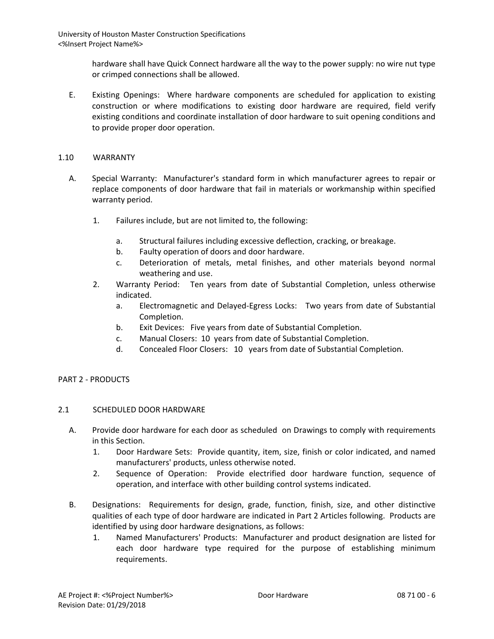> hardware shall have Quick Connect hardware all the way to the power supply: no wire nut type or crimped connections shall be allowed.

E. Existing Openings: Where hardware components are scheduled for application to existing construction or where modifications to existing door hardware are required, field verify existing conditions and coordinate installation of door hardware to suit opening conditions and to provide proper door operation.

### 1.10 WARRANTY

- A. Special Warranty: Manufacturer's standard form in which manufacturer agrees to repair or replace components of door hardware that fail in materials or workmanship within specified warranty period.
	- 1. Failures include, but are not limited to, the following:
		- a. Structural failures including excessive deflection, cracking, or breakage.
		- b. Faulty operation of doors and door hardware.
		- c. Deterioration of metals, metal finishes, and other materials beyond normal weathering and use.
	- 2. Warranty Period: Ten years from date of Substantial Completion, unless otherwise indicated.
		- a. Electromagnetic and Delayed-Egress Locks: Two years from date of Substantial Completion.
		- b. Exit Devices: Five years from date of Substantial Completion.
		- c. Manual Closers: 10 years from date of Substantial Completion.
		- d. Concealed Floor Closers: 10 years from date of Substantial Completion.

# PART 2 - PRODUCTS

### 2.1 SCHEDULED DOOR HARDWARE

- A. Provide door hardware for each door as scheduled on Drawings to comply with requirements in this Section.
	- 1. Door Hardware Sets: Provide quantity, item, size, finish or color indicated, and named manufacturers' products, unless otherwise noted.
	- 2. Sequence of Operation: Provide electrified door hardware function, sequence of operation, and interface with other building control systems indicated.
- B. Designations: Requirements for design, grade, function, finish, size, and other distinctive qualities of each type of door hardware are indicated in Part 2 Articles following. Products are identified by using door hardware designations, as follows:
	- 1. Named Manufacturers' Products: Manufacturer and product designation are listed for each door hardware type required for the purpose of establishing minimum requirements.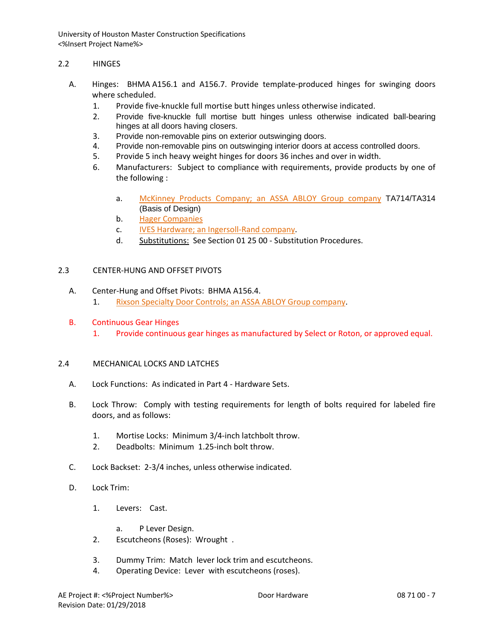## 2.2 HINGES

- A. Hinges: BHMA A156.1 and A156.7. Provide template-produced hinges for swinging doors where scheduled.
	- 1. Provide five-knuckle full mortise butt hinges unless otherwise indicated.
	- 2. Provide five-knuckle full mortise butt hinges unless otherwise indicated ball-bearing hinges at all doors having closers.
	- 3. Provide non-removable pins on exterior outswinging doors.
	- 4. Provide non-removable pins on outswinging interior doors at access controlled doors.
	- 5. Provide 5 inch heavy weight hinges for doors 36 inches and over in width.
	- 6. Manufacturers: Subject to compliance with requirements, provide products by one of the following :
		- a. [McKinney Products Company; an ASSA ABLOY Group company](http://www.specagent.com/LookUp/?uid=123456813301&mf=04&src=wd) TA714/TA314 (Basis of Design)
		- b. [Hager Companies](http://www.specagent.com/LookUp/?uid=123456790326&mf=04&src=wd)
		- c. [IVES Hardware; an Ingersoll-Rand company.](http://www.specagent.com/LookUp/?uid=123456813298&mf=04&src=wd)
		- d. Substitutions: See Section 01 25 00 Substitution Procedures.

## 2.3 CENTER-HUNG AND OFFSET PIVOTS

- A. Center-Hung and Offset Pivots: BHMA A156.4. 1. [Rixson Specialty Door Controls; an ASSA ABLOY Group company.](http://www.specagent.com/LookUp/?uid=123456813319&mf=04&src=wd)
- B. Continuous Gear Hinges
	- 1. Provide continuous gear hinges as manufactured by Select or Roton, or approved equal.

# 2.4 MECHANICAL LOCKS AND LATCHES

- A. Lock Functions: As indicated in Part 4 Hardware Sets.
- B. Lock Throw: Comply with testing requirements for length of bolts required for labeled fire doors, and as follows:
	- 1. Mortise Locks: Minimum 3/4-inch latchbolt throw.
	- 2. Deadbolts: Minimum 1.25-inch bolt throw.
- C. Lock Backset: 2-3/4 inches, unless otherwise indicated.
- D. Lock Trim:
	- 1. Levers: Cast.
		- a. P Lever Design.
	- 2. Escutcheons (Roses): Wrought .
	- 3. Dummy Trim: Match lever lock trim and escutcheons.
	- 4. Operating Device: Lever with escutcheons (roses).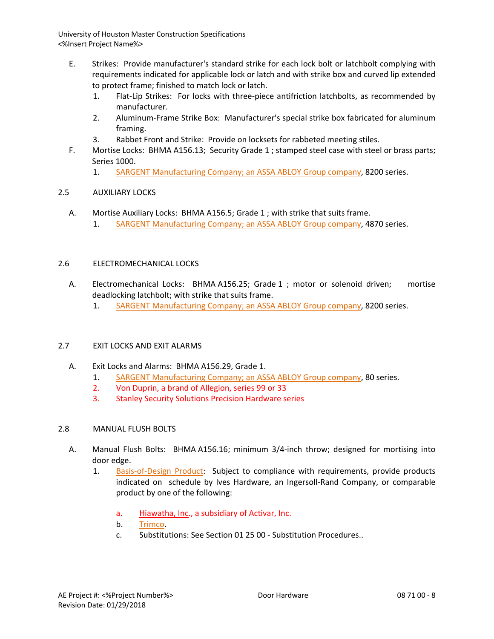- E. Strikes: Provide manufacturer's standard strike for each lock bolt or latchbolt complying with requirements indicated for applicable lock or latch and with strike box and curved lip extended to protect frame; finished to match lock or latch.
	- 1. Flat-Lip Strikes: For locks with three-piece antifriction latchbolts, as recommended by manufacturer.
	- 2. Aluminum-Frame Strike Box: Manufacturer's special strike box fabricated for aluminum framing.
	- 3. Rabbet Front and Strike: Provide on locksets for rabbeted meeting stiles.
- F. Mortise Locks: BHMA A156.13; Security Grade 1 ; stamped steel case with steel or brass parts; Series 1000.
	- 1. [SARGENT Manufacturing Company; an ASSA ABLOY Group company,](http://www.specagent.com/LookUp/?uid=123456813465&mf=04&src=wd) 8200 series.

# 2.5 AUXILIARY LOCKS

- A. Mortise Auxiliary Locks: BHMA A156.5; Grade 1 ; with strike that suits frame.
	- 1. [SARGENT Manufacturing Company; an ASSA ABLOY Group company,](http://www.specagent.com/LookUp/?uid=123456813597&mf=04&src=wd) 4870 series.

# 2.6 ELECTROMECHANICAL LOCKS

- A. Electromechanical Locks: BHMA A156.25; Grade 1 ; motor or solenoid driven; mortise deadlocking latchbolt; with strike that suits frame.
	- 1. [SARGENT Manufacturing Company; an ASSA ABLOY Group company,](http://www.specagent.com/LookUp/?uid=123456813653&mf=04&src=wd) 8200 series.

# 2.7 EXIT LOCKS AND EXIT ALARMS

- A. Exit Locks and Alarms: BHMA A156.29, Grade 1.
	- 1. [SARGENT Manufacturing Company; an ASSA ABLOY Group company,](http://www.specagent.com/LookUp/?uid=123456813776&mf=04&src=wd) 80 series.
	- 2. Von Duprin, a brand of Allegion, series 99 or 33
	- 3. Stanley Security Solutions Precision Hardware series

# 2.8 MANUAL FLUSH BOLTS

- A. Manual Flush Bolts: BHMA A156.16; minimum 3/4-inch throw; designed for mortising into door edge.
	- 1. [Basis-of-Design Product:](http://www.specagent.com/LookUp/?ulid=95&mf=04&src=wd) Subject to compliance with requirements, provide products indicated on schedule by Ives Hardware, an Ingersoll-Rand Company, or comparable product by one of the following:
		- a. Hiawatha, Inc., a subsidiary of Activar, Inc.
		- b. [Trimco.](http://www.specagent.com/LookUp/?uid=123456790562&mf=04&src=wd)
		- c. Substitutions: See Section 01 25 00 Substitution Procedures..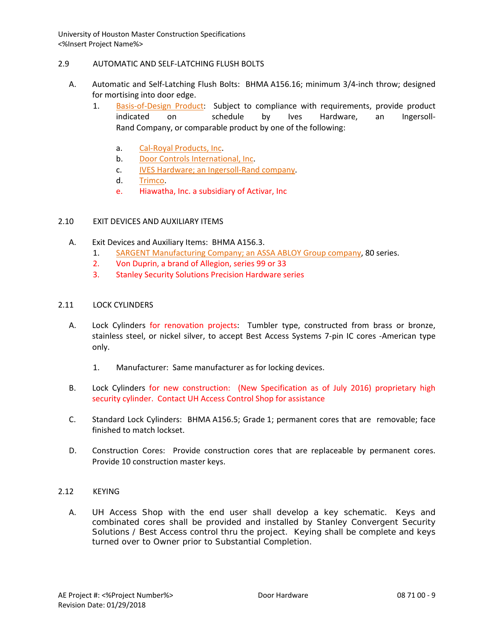### 2.9 AUTOMATIC AND SELF-LATCHING FLUSH BOLTS

- A. Automatic and Self-Latching Flush Bolts: BHMA A156.16; minimum 3/4-inch throw; designed for mortising into door edge.
	- 1. [Basis-of-Design Product:](http://www.specagent.com/LookUp/?ulid=96&mf=04&src=wd) Subject to compliance with requirements, provide product indicated on schedule by Ives Hardware, an Ingersoll-Rand Company, or comparable product by one of the following:
		- a. [Cal-Royal Products, Inc.](http://www.specagent.com/LookUp/?uid=123456790563&mf=04&src=wd)
		- b. [Door Controls International, Inc.](http://www.specagent.com/LookUp/?uid=123456790564&mf=04&src=wd)
		- c. [IVES Hardware; an Ingersoll-Rand company.](http://www.specagent.com/LookUp/?uid=123456813787&mf=04&src=wd)
		- d. [Trimco.](http://www.specagent.com/LookUp/?uid=123456813788&mf=04&src=wd)
		- e. Hiawatha, Inc. a subsidiary of Activar, Inc

## 2.10 EXIT DEVICES AND AUXILIARY ITEMS

- A. Exit Devices and Auxiliary Items: BHMA A156.3.
	- 1. [SARGENT Manufacturing Company; an ASSA ABLOY Group company,](http://www.specagent.com/LookUp/?uid=123456813828&mf=04&src=wd) 80 series.
	- 2. Von Duprin, a brand of Allegion, series 99 or 33
	- 3. Stanley Security Solutions Precision Hardware series

### 2.11 LOCK CYLINDERS

- A. Lock Cylinders for renovation projects: Tumbler type, constructed from brass or bronze, stainless steel, or nickel silver, to accept Best Access Systems 7-pin IC cores -American type only.
	- 1. Manufacturer: Same manufacturer as for locking devices.
- B. Lock Cylinders for new construction: (New Specification as of July 2016) proprietary high security cylinder. Contact UH Access Control Shop for assistance
- C. Standard Lock Cylinders: BHMA A156.5; Grade 1; permanent cores that are removable; face finished to match lockset.
- D. Construction Cores: Provide construction cores that are replaceable by permanent cores. Provide 10 construction master keys.
- 2.12 KEYING
	- A. UH Access Shop with the end user shall develop a key schematic. Keys and combinated cores shall be provided and installed by Stanley Convergent Security Solutions / Best Access control thru the project. Keying shall be complete and keys turned over to Owner prior to Substantial Completion.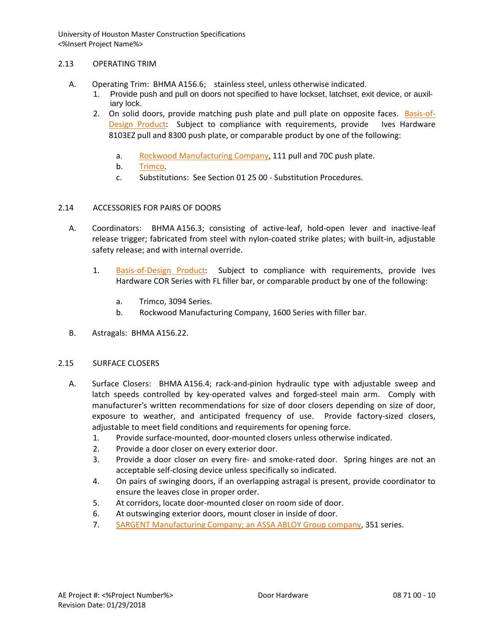## 2.13 OPERATING TRIM

- A. Operating Trim: BHMA A156.6; stainless steel, unless otherwise indicated.
	- 1. Provide push and pull on doors not specified to have lockset, latchset, exit device, or auxiliary lock.
	- 2. On solid doors, provide matching push plate and pull plate on opposite faces. [Basis-of-](http://www.specagent.com/LookUp/?ulid=103&mf=04&src=wd)[Design Product:](http://www.specagent.com/LookUp/?ulid=103&mf=04&src=wd) Subject to compliance with requirements, provide Ives Hardware 8103EZ pull and 8300 push plate, or comparable product by one of the following:
		- a. [Rockwood Manufacturing Company,](http://www.specagent.com/LookUp/?uid=123456790634&mf=04&src=wd) 111 pull and 70C push plate.
		- b. [Trimco.](http://www.specagent.com/LookUp/?uid=123456790637&mf=04&src=wd)
		- c. Substitutions: See Section 01 25 00 Substitution Procedures.

# 2.14 ACCESSORIES FOR PAIRS OF DOORS

- A. Coordinators: BHMA A156.3; consisting of active-leaf, hold-open lever and inactive-leaf release trigger; fabricated from steel with nylon-coated strike plates; with built-in, adjustable safety release; and with internal override.
	- 1. [Basis-of-Design Product:](http://www.specagent.com/LookUp/?ulid=103&mf=04&src=wd) Subject to compliance with requirements, provide Ives Hardware COR Series with FL filler bar, or comparable product by one of the following:
		- a. Trimco, 3094 Series.
		- b. Rockwood Manufacturing Company, 1600 Series with filler bar.
- B. Astragals: BHMA A156.22.

### 2.15 SURFACE CLOSERS

- A. Surface Closers: BHMA A156.4; rack-and-pinion hydraulic type with adjustable sweep and latch speeds controlled by key-operated valves and forged-steel main arm. Comply with manufacturer's written recommendations for size of door closers depending on size of door, exposure to weather, and anticipated frequency of use. Provide factory-sized closers, adjustable to meet field conditions and requirements for opening force.
	- 1. Provide surface-mounted, door-mounted closers unless otherwise indicated.
	- 2. Provide a door closer on every exterior door.
	- 3. Provide a door closer on every fire- and smoke-rated door. Spring hinges are not an acceptable self-closing device unless specifically so indicated.
	- 4. On pairs of swinging doors, if an overlapping astragal is present, provide coordinator to ensure the leaves close in proper order.
	- 5. At corridors, locate door-mounted closer on room side of door.
	- 6. At outswinging exterior doors, mount closer in inside of door.
	- 7. [SARGENT Manufacturing Company; an ASSA ABLOY Group company,](http://www.specagent.com/LookUp/?uid=123456813861&mf=04&src=wd) 351 series.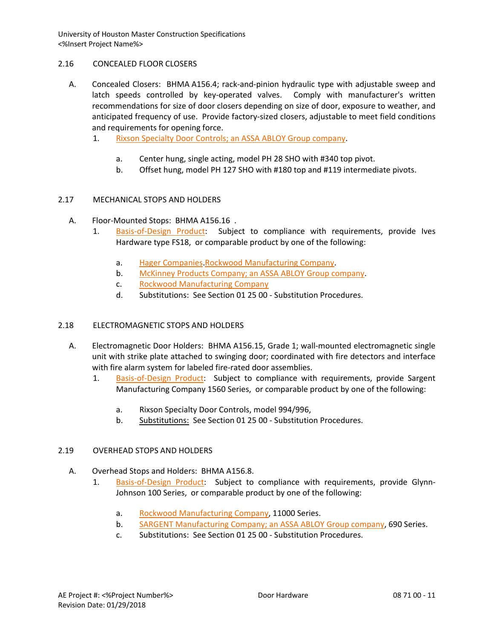# 2.16 CONCEALED FLOOR CLOSERS

- A. Concealed Closers: BHMA A156.4; rack-and-pinion hydraulic type with adjustable sweep and latch speeds controlled by key-operated valves. Comply with manufacturer's written recommendations for size of door closers depending on size of door, exposure to weather, and anticipated frequency of use. Provide factory-sized closers, adjustable to meet field conditions and requirements for opening force.
	- 1. [Rixson Specialty Door Controls; an ASSA ABLOY Group company.](http://www.specagent.com/LookUp/?uid=123456813875&mf=04&src=wd)
		- a. Center hung, single acting, model PH 28 SHO with #340 top pivot.
		- b. Offset hung, model PH 127 SHO with #180 top and #119 intermediate pivots.

# 2.17 MECHANICAL STOPS AND HOLDERS

- A. Floor-Mounted Stops: BHMA A156.16 .
	- 1. [Basis-of-Design Product:](http://www.specagent.com/LookUp/?ulid=107&mf=04&src=wd) Subject to compliance with requirements, provide Ives Hardware type FS18, or comparable product by one of the following:
		- a. [Hager Companies.](http://www.specagent.com/LookUp/?uid=123456790669&mf=04&src=wd)[Rockwood Manufacturing Company.](http://www.specagent.com/LookUp/?uid=123456790678&mf=04&src=wd)
		- b. [McKinney Products Company; an ASSA ABLOY Group company.](http://www.specagent.com/LookUp/?uid=123456813301&mf=04&src=wd)
		- c. [Rockwood Manufacturing Company](http://www.specagent.com/LookUp/?uid=123456790695&mf=04&src=wd)
		- d. Substitutions: See Section 01 25 00 Substitution Procedures.

# 2.18 ELECTROMAGNETIC STOPS AND HOLDERS

- A. Electromagnetic Door Holders: BHMA A156.15, Grade 1; wall-mounted electromagnetic single unit with strike plate attached to swinging door; coordinated with fire detectors and interface with fire alarm system for labeled fire-rated door assemblies.
	- 1. [Basis-of-Design Product:](http://www.specagent.com/LookUp/?ulid=108&mf=04&src=wd) Subject to compliance with requirements, provide Sargent Manufacturing Company 1560 Series, or comparable product by one of the following:
		- a. Rixson Specialty Door Controls, model 994/996,
		- b. Substitutions: See Section 01 25 00 Substitution Procedures.

# 2.19 OVERHEAD STOPS AND HOLDERS

- A. Overhead Stops and Holders: BHMA A156.8.
	- 1. [Basis-of-Design Product:](http://www.specagent.com/LookUp/?ulid=109&mf=04&src=wd) Subject to compliance with requirements, provide Glynn-Johnson 100 Series, or comparable product by one of the following:
		- a. [Rockwood Manufacturing Company,](http://www.specagent.com/LookUp/?uid=123456790695&mf=04&src=wd) 11000 Series.
		- b. [SARGENT Manufacturing Company; an ASSA ABLOY Group company,](http://www.specagent.com/LookUp/?uid=123456813904&mf=04&src=wd) 690 Series.
		- c. Substitutions: See Section 01 25 00 Substitution Procedures.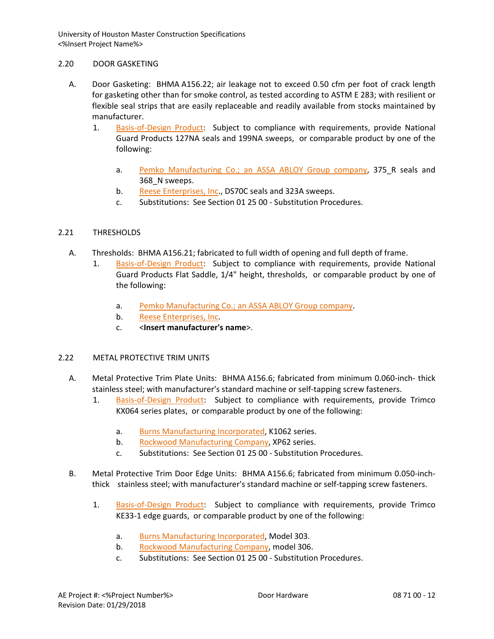## 2.20 DOOR GASKETING

- A. Door Gasketing: BHMA A156.22; air leakage not to exceed 0.50 cfm per foot of crack length for gasketing other than for smoke control, as tested according to ASTM E 283; with resilient or flexible seal strips that are easily replaceable and readily available from stocks maintained by manufacturer.
	- 1. [Basis-of-Design Product:](http://www.specagent.com/LookUp/?ulid=110&mf=04&src=wd) Subject to compliance with requirements, provide National Guard Products 127NA seals and 199NA sweeps, or comparable product by one of the following:
		- a. [Pemko Manufacturing Co.; an ASSA ABLOY Group company,](http://www.specagent.com/LookUp/?uid=123456813992&mf=04&src=wd) 375 R seals and 368\_N sweeps.
		- b. [Reese Enterprises, Inc.](http://www.specagent.com/LookUp/?uid=123456790706&mf=04&src=wd), DS70C seals and 323A sweeps.
		- c. Substitutions: See Section 01 25 00 Substitution Procedures.

# 2.21 THRESHOLDS

- A. Thresholds: BHMA A156.21; fabricated to full width of opening and full depth of frame.
	- [Basis-of-Design Product:](http://www.specagent.com/LookUp/?ulid=111&mf=04&src=wd) Subject to compliance with requirements, provide National Guard Products Flat Saddle, 1/4" height, thresholds, or comparable product by one of the following:
		- a. [Pemko Manufacturing Co.; an ASSA ABLOY Group company.](http://www.specagent.com/LookUp/?uid=123456814006&mf=04&src=wd)
		- b. [Reese Enterprises, Inc.](http://www.specagent.com/LookUp/?uid=123456790726&mf=04&src=wd)
		- c. <**Insert manufacturer's name**>.

# 2.22 METAL PROTECTIVE TRIM UNITS

- A. Metal Protective Trim Plate Units: BHMA A156.6; fabricated from minimum 0.060-inch- thick stainless steel; with manufacturer's standard machine or self-tapping screw fasteners.
	- 1. [Basis-of-Design Product:](http://www.specagent.com/LookUp/?ulid=114&mf=04&src=wd) Subject to compliance with requirements, provide Trimco KX064 series plates, or comparable product by one of the following:
		- a. [Burns Manufacturing Incorporated,](http://www.specagent.com/LookUp/?uid=123456790987&mf=04&src=wd) K1062 series.
		- b. [Rockwood Manufacturing Company,](http://www.specagent.com/LookUp/?uid=123456790999&mf=04&src=wd) XP62 series.
		- c. Substitutions: See Section 01 25 00 Substitution Procedures.
- B. Metal Protective Trim Door Edge Units: BHMA A156.6; fabricated from minimum 0.050-inchthick stainless steel; with manufacturer's standard machine or self-tapping screw fasteners.
	- 1. [Basis-of-Design Product:](http://www.specagent.com/LookUp/?ulid=114&mf=04&src=wd) Subject to compliance with requirements, provide Trimco KE33-1 edge guards, or comparable product by one of the following:
		- a. [Burns Manufacturing Incorporated,](http://www.specagent.com/LookUp/?uid=123456790987&mf=04&src=wd) Model 303.
		- b. [Rockwood Manufacturing Company,](http://www.specagent.com/LookUp/?uid=123456790999&mf=04&src=wd) model 306.
		- c. Substitutions: See Section 01 25 00 Substitution Procedures.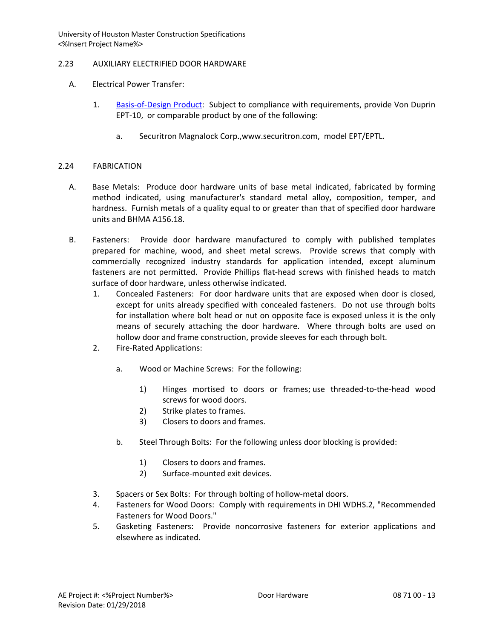# 2.23 AUXILIARY ELECTRIFIED DOOR HARDWARE

- A. Electrical Power Transfer:
	- 1. [Basis-of-Design Product:](http://www.specagent.com/LookUp/?ulid=114&mf=04&src=wd) Subject to compliance with requirements, provide Von Duprin EPT-10, or comparable product by one of the following:
		- a. Securitron Magnalock Corp.,www.securitron.com, model EPT/EPTL.

# 2.24 FABRICATION

- A. Base Metals: Produce door hardware units of base metal indicated, fabricated by forming method indicated, using manufacturer's standard metal alloy, composition, temper, and hardness. Furnish metals of a quality equal to or greater than that of specified door hardware units and BHMA A156.18.
- B. Fasteners: Provide door hardware manufactured to comply with published templates prepared for machine, wood, and sheet metal screws. Provide screws that comply with commercially recognized industry standards for application intended, except aluminum fasteners are not permitted. Provide Phillips flat-head screws with finished heads to match surface of door hardware, unless otherwise indicated.
	- 1. Concealed Fasteners: For door hardware units that are exposed when door is closed, except for units already specified with concealed fasteners. Do not use through bolts for installation where bolt head or nut on opposite face is exposed unless it is the only means of securely attaching the door hardware. Where through bolts are used on hollow door and frame construction, provide sleeves for each through bolt.
	- 2. Fire-Rated Applications:
		- a. Wood or Machine Screws: For the following:
			- 1) Hinges mortised to doors or frames; use threaded-to-the-head wood screws for wood doors.
			- 2) Strike plates to frames.
			- 3) Closers to doors and frames.
		- b. Steel Through Bolts: For the following unless door blocking is provided:
			- 1) Closers to doors and frames.
			- 2) Surface-mounted exit devices.
	- 3. Spacers or Sex Bolts: For through bolting of hollow-metal doors.
	- 4. Fasteners for Wood Doors: Comply with requirements in DHI WDHS.2, "Recommended Fasteners for Wood Doors."
	- 5. Gasketing Fasteners: Provide noncorrosive fasteners for exterior applications and elsewhere as indicated.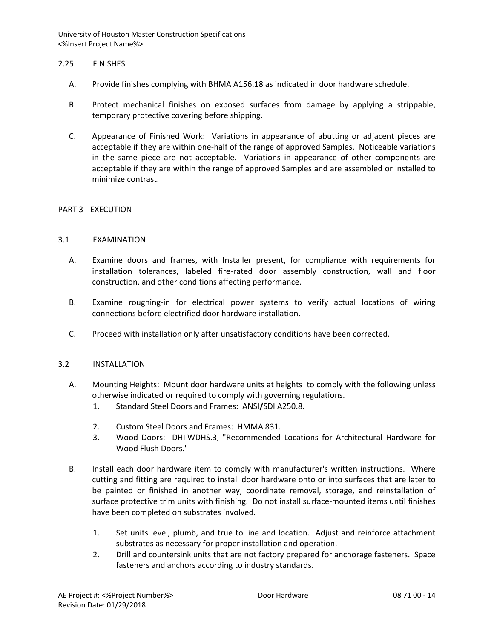## 2.25 FINISHES

- A. Provide finishes complying with BHMA A156.18 as indicated in door hardware schedule.
- B. Protect mechanical finishes on exposed surfaces from damage by applying a strippable, temporary protective covering before shipping.
- C. Appearance of Finished Work: Variations in appearance of abutting or adjacent pieces are acceptable if they are within one-half of the range of approved Samples. Noticeable variations in the same piece are not acceptable. Variations in appearance of other components are acceptable if they are within the range of approved Samples and are assembled or installed to minimize contrast.

### PART 3 - EXECUTION

## 3.1 EXAMINATION

- A. Examine doors and frames, with Installer present, for compliance with requirements for installation tolerances, labeled fire-rated door assembly construction, wall and floor construction, and other conditions affecting performance.
- B. Examine roughing-in for electrical power systems to verify actual locations of wiring connections before electrified door hardware installation.
- C. Proceed with installation only after unsatisfactory conditions have been corrected.

### 3.2 INSTALLATION

- A. Mounting Heights: Mount door hardware units at heights to comply with the following unless otherwise indicated or required to comply with governing regulations.
	- 1. Standard Steel Doors and Frames: ANSI**/**SDI A250.8.
	- 2. Custom Steel Doors and Frames: HMMA 831.
	- 3. Wood Doors: DHI WDHS.3, "Recommended Locations for Architectural Hardware for Wood Flush Doors."
- B. Install each door hardware item to comply with manufacturer's written instructions. Where cutting and fitting are required to install door hardware onto or into surfaces that are later to be painted or finished in another way, coordinate removal, storage, and reinstallation of surface protective trim units with finishing. Do not install surface-mounted items until finishes have been completed on substrates involved.
	- 1. Set units level, plumb, and true to line and location. Adjust and reinforce attachment substrates as necessary for proper installation and operation.
	- 2. Drill and countersink units that are not factory prepared for anchorage fasteners. Space fasteners and anchors according to industry standards.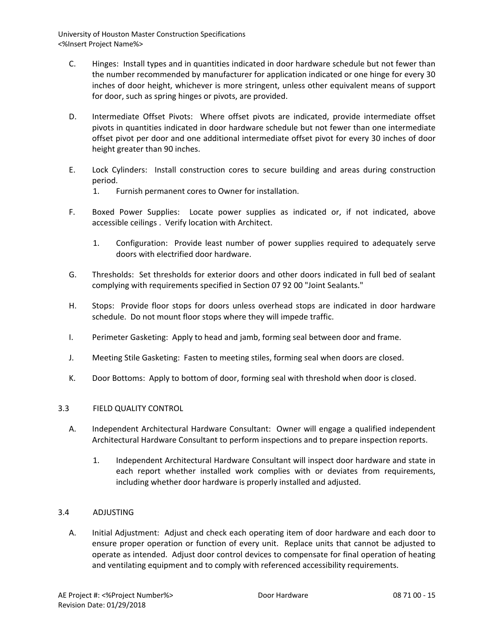- C. Hinges: Install types and in quantities indicated in door hardware schedule but not fewer than the number recommended by manufacturer for application indicated or one hinge for every 30 inches of door height, whichever is more stringent, unless other equivalent means of support for door, such as spring hinges or pivots, are provided.
- D. Intermediate Offset Pivots: Where offset pivots are indicated, provide intermediate offset pivots in quantities indicated in door hardware schedule but not fewer than one intermediate offset pivot per door and one additional intermediate offset pivot for every 30 inches of door height greater than 90 inches.
- E. Lock Cylinders: Install construction cores to secure building and areas during construction period.
	- 1. Furnish permanent cores to Owner for installation.
- F. Boxed Power Supplies: Locate power supplies as indicated or, if not indicated, above accessible ceilings . Verify location with Architect.
	- 1. Configuration: Provide least number of power supplies required to adequately serve doors with electrified door hardware.
- G. Thresholds: Set thresholds for exterior doors and other doors indicated in full bed of sealant complying with requirements specified in Section 07 92 00 "Joint Sealants."
- H. Stops: Provide floor stops for doors unless overhead stops are indicated in door hardware schedule. Do not mount floor stops where they will impede traffic.
- I. Perimeter Gasketing: Apply to head and jamb, forming seal between door and frame.
- J. Meeting Stile Gasketing: Fasten to meeting stiles, forming seal when doors are closed.
- K. Door Bottoms: Apply to bottom of door, forming seal with threshold when door is closed.

# 3.3 FIELD QUALITY CONTROL

- A. Independent Architectural Hardware Consultant: Owner will engage a qualified independent Architectural Hardware Consultant to perform inspections and to prepare inspection reports.
	- 1. Independent Architectural Hardware Consultant will inspect door hardware and state in each report whether installed work complies with or deviates from requirements, including whether door hardware is properly installed and adjusted.

# 3.4 ADJUSTING

A. Initial Adjustment: Adjust and check each operating item of door hardware and each door to ensure proper operation or function of every unit. Replace units that cannot be adjusted to operate as intended. Adjust door control devices to compensate for final operation of heating and ventilating equipment and to comply with referenced accessibility requirements.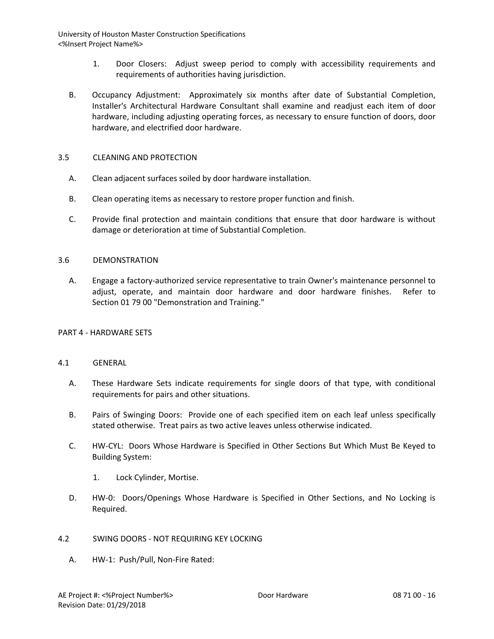- 1. Door Closers: Adjust sweep period to comply with accessibility requirements and requirements of authorities having jurisdiction.
- B. Occupancy Adjustment: Approximately six months after date of Substantial Completion, Installer's Architectural Hardware Consultant shall examine and readjust each item of door hardware, including adjusting operating forces, as necessary to ensure function of doors, door hardware, and electrified door hardware.

## 3.5 CLEANING AND PROTECTION

- A. Clean adjacent surfaces soiled by door hardware installation.
- B. Clean operating items as necessary to restore proper function and finish.
- C. Provide final protection and maintain conditions that ensure that door hardware is without damage or deterioration at time of Substantial Completion.

### 3.6 DEMONSTRATION

A. Engage a factory-authorized service representative to train Owner's maintenance personnel to adjust, operate, and maintain door hardware and door hardware finishes. Refer to Section 01 79 00 "Demonstration and Training."

### PART 4 - HARDWARE SETS

### 4.1 GENERAL

- A. These Hardware Sets indicate requirements for single doors of that type, with conditional requirements for pairs and other situations.
- B. Pairs of Swinging Doors: Provide one of each specified item on each leaf unless specifically stated otherwise. Treat pairs as two active leaves unless otherwise indicated.
- C. HW-CYL: Doors Whose Hardware is Specified in Other Sections But Which Must Be Keyed to Building System:
	- 1. Lock Cylinder, Mortise.
- D. HW-0: Doors/Openings Whose Hardware is Specified in Other Sections, and No Locking is Required.
- 4.2 SWING DOORS NOT REQUIRING KEY LOCKING
	- A. HW-1: Push/Pull, Non-Fire Rated: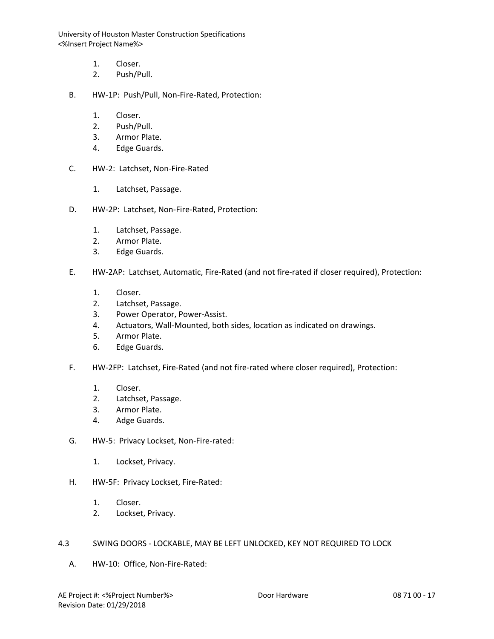- 1. Closer.
- 2. Push/Pull.
- B. HW-1P: Push/Pull, Non-Fire-Rated, Protection:
	- 1. Closer.
	- 2. Push/Pull.
	- 3. Armor Plate.
	- 4. Edge Guards.
- C. HW-2: Latchset, Non-Fire-Rated
	- 1. Latchset, Passage.
- D. HW-2P: Latchset, Non-Fire-Rated, Protection:
	- 1. Latchset, Passage.
	- 2. Armor Plate.
	- 3. Edge Guards.
- E. HW-2AP: Latchset, Automatic, Fire-Rated (and not fire-rated if closer required), Protection:
	- 1. Closer.
	- 2. Latchset, Passage.
	- 3. Power Operator, Power-Assist.
	- 4. Actuators, Wall-Mounted, both sides, location as indicated on drawings.
	- 5. Armor Plate.
	- 6. Edge Guards.
- F. HW-2FP: Latchset, Fire-Rated (and not fire-rated where closer required), Protection:
	- 1. Closer.
	- 2. Latchset, Passage.
	- 3. Armor Plate.
	- 4. Adge Guards.
- G. HW-5: Privacy Lockset, Non-Fire-rated:
	- 1. Lockset, Privacy.
- H. HW-5F: Privacy Lockset, Fire-Rated:
	- 1. Closer.
	- 2. Lockset, Privacy.

## 4.3 SWING DOORS - LOCKABLE, MAY BE LEFT UNLOCKED, KEY NOT REQUIRED TO LOCK

A. HW-10: Office, Non-Fire-Rated: